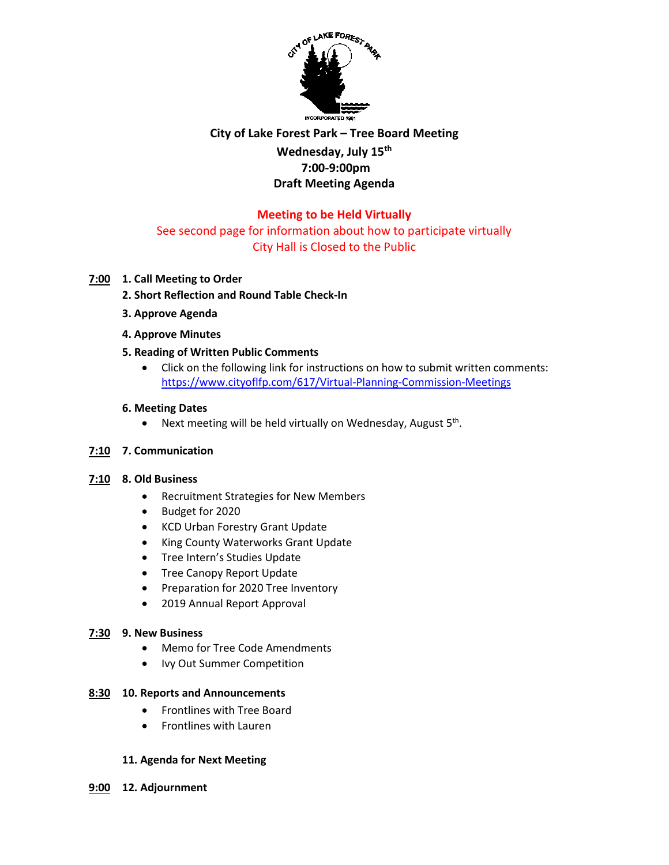

# **City of Lake Forest Park – Tree Board Meeting Wednesday, July 15th 7:00-9:00pm Draft Meeting Agenda**

# **Meeting to be Held Virtually**

# See second page for information about how to participate virtually City Hall is Closed to the Public

# **7:00 1. Call Meeting to Order**

- **2. Short Reflection and Round Table Check-In**
- **3. Approve Agenda**
- **4. Approve Minutes**
- **5. Reading of Written Public Comments**
	- Click on the following link for instructions on how to submit written comments: <https://www.cityoflfp.com/617/Virtual-Planning-Commission-Meetings>

## **6. Meeting Dates**

• Next meeting will be held virtually on Wednesday, August  $5<sup>th</sup>$ .

# **7:10 7. Communication**

## **7:10 8. Old Business**

- Recruitment Strategies for New Members
- Budget for 2020
- KCD Urban Forestry Grant Update
- King County Waterworks Grant Update
- Tree Intern's Studies Update
- Tree Canopy Report Update
- Preparation for 2020 Tree Inventory
- 2019 Annual Report Approval

## **7:30 9. New Business**

- Memo for Tree Code Amendments
- Ivy Out Summer Competition

## **8:30 10. Reports and Announcements**

- Frontlines with Tree Board
- Frontlines with Lauren

## **11. Agenda for Next Meeting**

**9:00 12. Adjournment**